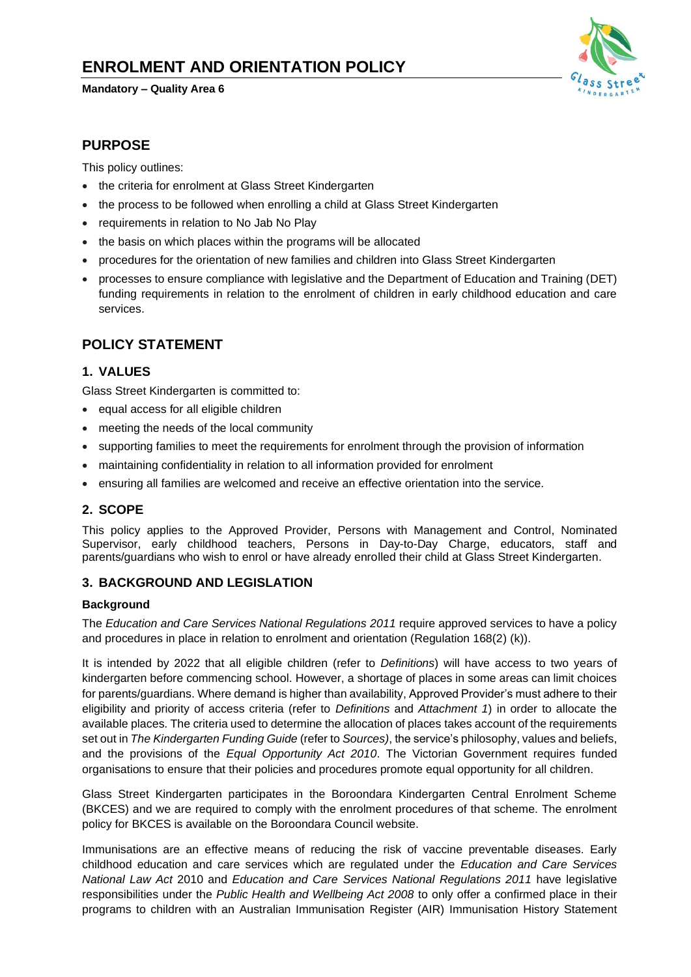# **ENROLMENT AND ORIENTATION POLICY**

#### **Mandatory – Quality Area 6**



### **PURPOSE**

This policy outlines:

- the criteria for enrolment at Glass Street Kindergarten
- the process to be followed when enrolling a child at Glass Street Kindergarten
- requirements in relation to No Jab No Play
- the basis on which places within the programs will be allocated
- procedures for the orientation of new families and children into Glass Street Kindergarten
- processes to ensure compliance with legislative and the Department of Education and Training (DET) funding requirements in relation to the enrolment of children in early childhood education and care services.

### **POLICY STATEMENT**

#### **1. VALUES**

Glass Street Kindergarten is committed to:

- equal access for all eligible children
- meeting the needs of the local community
- supporting families to meet the requirements for enrolment through the provision of information
- maintaining confidentiality in relation to all information provided for enrolment
- ensuring all families are welcomed and receive an effective orientation into the service.

#### **2. SCOPE**

This policy applies to the Approved Provider, Persons with Management and Control, Nominated Supervisor, early childhood teachers, Persons in Day-to-Day Charge, educators, staff and parents/guardians who wish to enrol or have already enrolled their child at Glass Street Kindergarten.

#### **3. BACKGROUND AND LEGISLATION**

#### **Background**

The *Education and Care Services National Regulations 2011* require approved services to have a policy and procedures in place in relation to enrolment and orientation (Regulation 168(2) (k)).

It is intended by 2022 that all eligible children (refer to *Definitions*) will have access to two years of kindergarten before commencing school. However, a shortage of places in some areas can limit choices for parents/guardians. Where demand is higher than availability, Approved Provider's must adhere to their eligibility and priority of access criteria (refer to *Definitions* and *Attachment 1*) in order to allocate the available places. The criteria used to determine the allocation of places takes account of the requirements set out in *The Kindergarten Funding Guide* (refer to *Sources)*, the service'sphilosophy, values and beliefs, and the provisions of the *Equal Opportunity Act 2010*. The Victorian Government requires funded organisations to ensure that their policies and procedures promote equal opportunity for all children.

Glass Street Kindergarten participates in the Boroondara Kindergarten Central Enrolment Scheme (BKCES) and we are required to comply with the enrolment procedures of that scheme. The enrolment policy for BKCES is available on the Boroondara Council website.

Immunisations are an effective means of reducing the risk of vaccine preventable diseases. Early childhood education and care services which are regulated under the *Education and Care Services National Law Act* 2010 and *Education and Care Services National Regulations 2011* have legislative responsibilities under the *Public Health and Wellbeing Act 2008* to only offer a confirmed place in their programs to children with an Australian Immunisation Register (AIR) Immunisation History Statement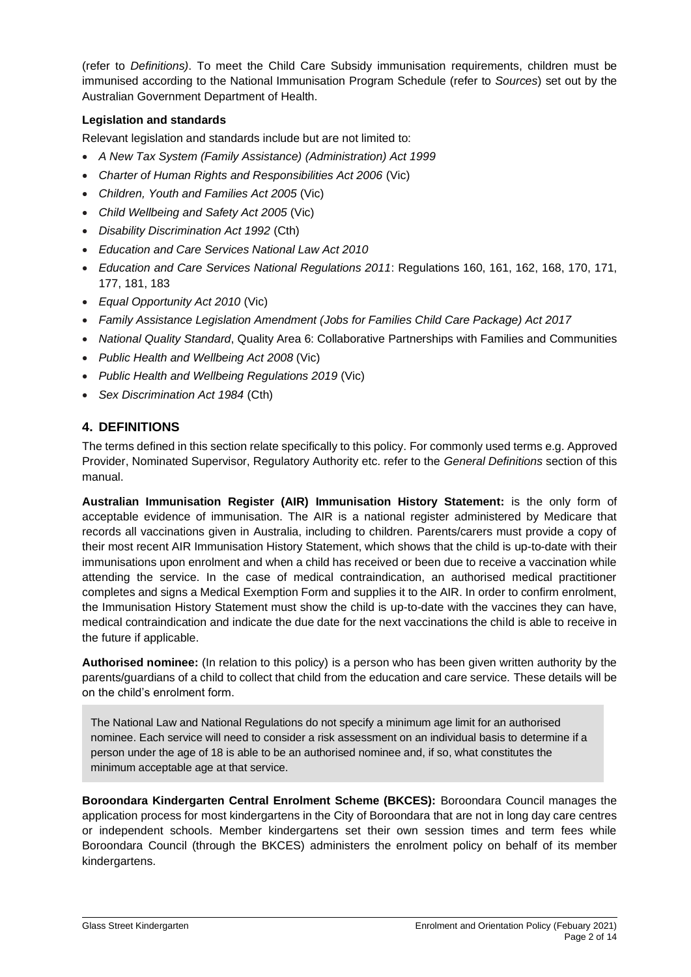(refer to *Definitions)*. To meet the Child Care Subsidy immunisation requirements, children must be immunised according to the National Immunisation Program Schedule (refer to *Sources*) set out by the Australian Government Department of Health.

#### **Legislation and standards**

Relevant legislation and standards include but are not limited to:

- *A New Tax System (Family Assistance) (Administration) Act 1999*
- *[Charter of Human Rights and Responsibilities Act 2006](http://www.legislation.vic.gov.au/Domino/Web_Notes/LDMS/PubStatbook.nsf/f932b66241ecf1b7ca256e92000e23be/54d73763ef9dca36ca2571b6002428b0!OpenDocument)* (Vic)
- *Children, Youth and Families Act 2005* (Vic)
- *Child Wellbeing and Safety Act 2005* (Vic)
- *Disability Discrimination Act 1992* (Cth)
- *Education and Care Services National Law Act 2010*
- *Education and Care Services National Regulations 2011*: Regulations 160, 161, 162, 168, 170, 171, 177, 181, 183
- *Equal Opportunity Act 2010* (Vic)
- *Family Assistance Legislation Amendment (Jobs for Families Child Care Package) Act 2017*
- *National Quality Standard*, Quality Area 6: Collaborative Partnerships with Families and Communities
- *Public Health and Wellbeing Act 2008* (Vic)
- *Public Health and Wellbeing Regulations 2019* (Vic)
- *Sex Discrimination Act 1984* (Cth)

### **4. DEFINITIONS**

The terms defined in this section relate specifically to this policy. For commonly used terms e.g. Approved Provider, Nominated Supervisor, Regulatory Authority etc. refer to the *General Definitions* section of this manual.

**Australian Immunisation Register (AIR) Immunisation History Statement:** is the only form of acceptable evidence of immunisation. The AIR is a national register administered by Medicare that records all vaccinations given in Australia, including to children. Parents/carers must provide a copy of their most recent AIR Immunisation History Statement, which shows that the child is up-to-date with their immunisations upon enrolment and when a child has received or been due to receive a vaccination while attending the service. In the case of medical contraindication, an authorised medical practitioner completes and signs a Medical Exemption Form and supplies it to the AIR. In order to confirm enrolment, the Immunisation History Statement must show the child is up-to-date with the vaccines they can have, medical contraindication and indicate the due date for the next vaccinations the child is able to receive in the future if applicable.

**Authorised nominee:** (In relation to this policy) is a person who has been given written authority by the parents/guardians of a child to collect that child from the education and care service. These details will be on the child's enrolment form.

The National Law and National Regulations do not specify a minimum age limit for an authorised nominee. Each service will need to consider a risk assessment on an individual basis to determine if a person under the age of 18 is able to be an authorised nominee and, if so, what constitutes the minimum acceptable age at that service.

**Boroondara Kindergarten Central Enrolment Scheme (BKCES):** Boroondara Council manages the application process for most kindergartens in the City of Boroondara that are not in long day care centres or independent schools. Member kindergartens set their own session times and term fees while Boroondara Council (through the BKCES) administers the enrolment policy on behalf of its member kindergartens.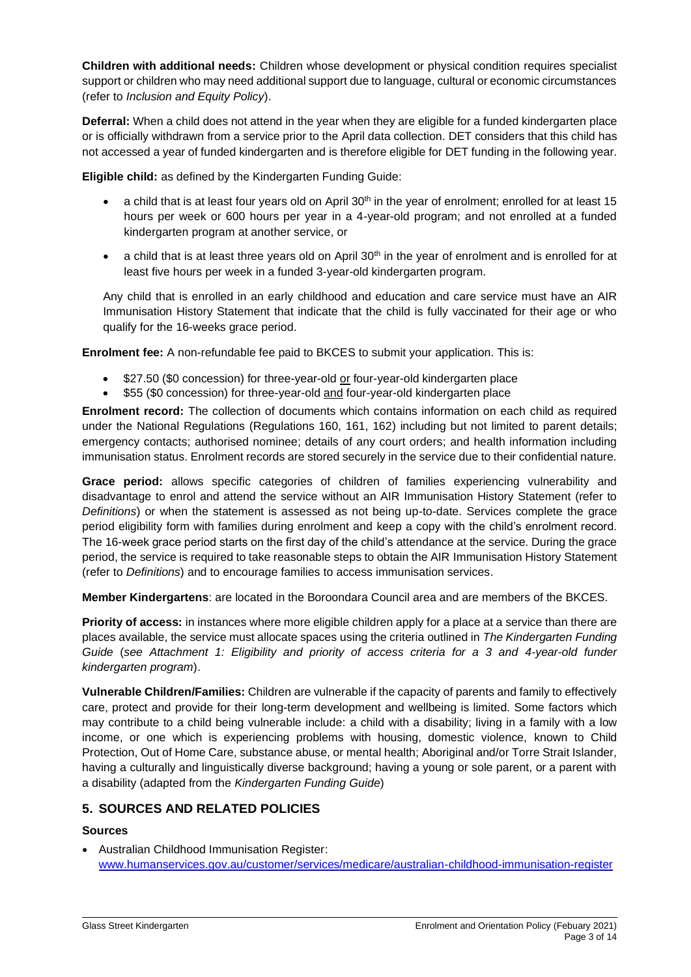**Children with additional needs:** Children whose development or physical condition requires specialist support or children who may need additional support due to language, cultural or economic circumstances (refer to *Inclusion and Equity Policy*).

**Deferral:** When a child does not attend in the year when they are eligible for a funded kindergarten place or is officially withdrawn from a service prior to the April data collection. DET considers that this child has not accessed a year of funded kindergarten and is therefore eligible for DET funding in the following year.

**Eligible child:** as defined by the Kindergarten Funding Guide:

- a child that is at least four years old on April 30<sup>th</sup> in the year of enrolment; enrolled for at least 15 hours per week or 600 hours per year in a 4-year-old program; and not enrolled at a funded kindergarten program at another service, or
- a child that is at least three years old on April 30<sup>th</sup> in the year of enrolment and is enrolled for at least five hours per week in a funded 3-year-old kindergarten program.

Any child that is enrolled in an early childhood and education and care service must have an AIR Immunisation History Statement that indicate that the child is fully vaccinated for their age or who qualify for the 16-weeks grace period.

**Enrolment fee:** A non-refundable fee paid to BKCES to submit your application. This is:

- \$27.50 (\$0 concession) for three-year-old or four-year-old kindergarten place
- \$55 (\$0 concession) for three-year-old and four-year-old kindergarten place

**Enrolment record:** The collection of documents which contains information on each child as required under the National Regulations (Regulations 160, 161, 162) including but not limited to parent details; emergency contacts; authorised nominee; details of any court orders; and health information including immunisation status. Enrolment records are stored securely in the service due to their confidential nature.

**Grace period:** allows specific categories of children of families experiencing vulnerability and disadvantage to enrol and attend the service without an AIR Immunisation History Statement (refer to *Definitions*) or when the statement is assessed as not being up-to-date. Services complete the grace period eligibility form with families during enrolment and keep a copy with the child's enrolment record. The 16-week grace period starts on the first day of the child's attendance at the service. During the grace period, the service is required to take reasonable steps to obtain the AIR Immunisation History Statement (refer to *Definitions*) and to encourage families to access immunisation services.

**Member Kindergartens**: are located in the Boroondara Council area and are members of the BKCES.

**Priority of access:** in instances where more eligible children apply for a place at a service than there are places available, the service must allocate spaces using the criteria outlined in *The Kindergarten Funding Guide* (*see Attachment 1: Eligibility and priority of access criteria for a 3 and 4-year-old funder kindergarten program*).

**Vulnerable Children/Families:** Children are vulnerable if the capacity of parents and family to effectively care, protect and provide for their long-term development and wellbeing is limited. Some factors which may contribute to a child being vulnerable include: a child with a disability; living in a family with a low income, or one which is experiencing problems with housing, domestic violence, known to Child Protection, Out of Home Care, substance abuse, or mental health; Aboriginal and/or Torre Strait Islander, having a culturally and linguistically diverse background; having a young or sole parent, or a parent with a disability (adapted from the *Kindergarten Funding Guide*)

### **5. SOURCES AND RELATED POLICIES**

#### **Sources**

• Australian Childhood Immunisation Register: [www.humanservices.gov.au/customer/services/medicare/australian-childhood-immunisation-register](http://www.humanservices.gov.au/customer/services/medicare/australian-childhood-immunisation-register)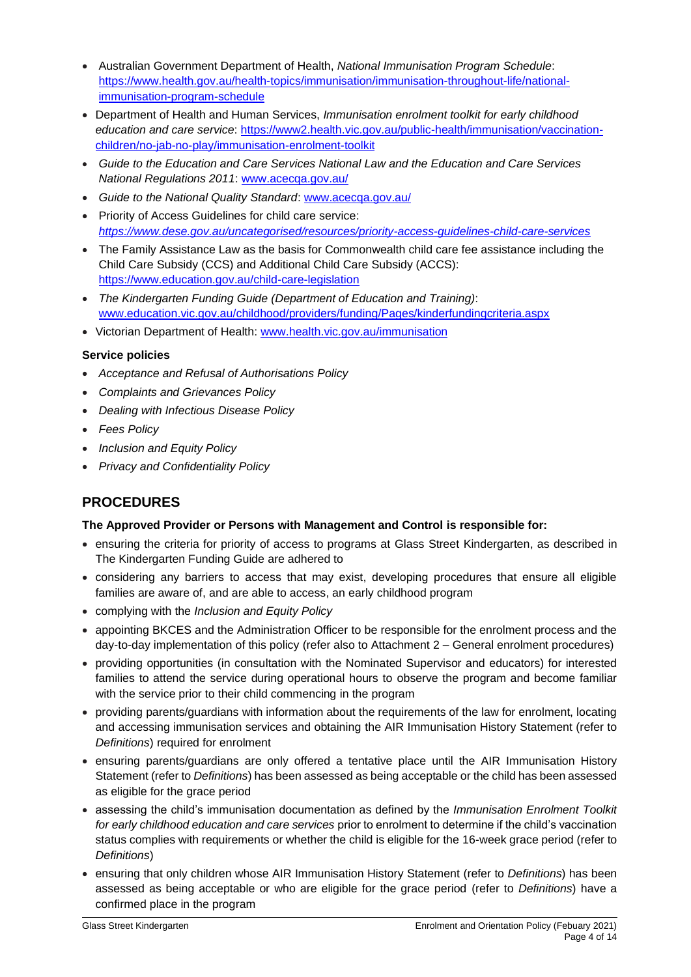- Australian Government Department of Health, *National Immunisation Program Schedule*: [https://www.health.gov.au/health-topics/immunisation/immunisation-throughout-life/national](https://www.health.gov.au/health-topics/immunisation/immunisation-throughout-life/national-immunisation-program-schedule)[immunisation-program-schedule](https://www.health.gov.au/health-topics/immunisation/immunisation-throughout-life/national-immunisation-program-schedule)
- Department of Health and Human Services, *Immunisation enrolment toolkit for early childhood education and care service*: [https://www2.health.vic.gov.au/public-health/immunisation/vaccination](https://www2.health.vic.gov.au/public-health/immunisation/vaccination-children/no-jab-no-play/immunisation-enrolment-toolkit)[children/no-jab-no-play/immunisation-enrolment-toolkit](https://www2.health.vic.gov.au/public-health/immunisation/vaccination-children/no-jab-no-play/immunisation-enrolment-toolkit)
- *Guide to the Education and Care Services National Law and the Education and Care Services National Regulations 2011*: [www.acecqa.gov.au/](http://www.acecqa.gov.au/)
- *Guide to the National Quality Standard*: [www.acecqa.gov.au/](http://www.acecqa.gov.au/)
- Priority of Access Guidelines for child care service: *<https://www.dese.gov.au/uncategorised/resources/priority-access-guidelines-child-care-services>*
- The Family Assistance Law as the basis for Commonwealth child care fee assistance including the Child Care Subsidy (CCS) and Additional Child Care Subsidy (ACCS): <https://www.education.gov.au/child-care-legislation>
- *The Kindergarten Funding Guide (Department of Education and Training)*: [www.education.vic.gov.au/childhood/providers/funding/Pages/kinderfundingcriteria.aspx](http://www.education.vic.gov.au/childhood/providers/funding/Pages/kinderfundingcriteria.aspx)
- Victorian Department of Health: [www.health.vic.gov.au/immunisation](http://www.health.vic.gov.au/immunisation)

#### **Service policies**

- *Acceptance and Refusal of Authorisations Policy*
- *Complaints and Grievances Policy*
- *Dealing with Infectious Disease Policy*
- *Fees Policy*
- *Inclusion and Equity Policy*
- *Privacy and Confidentiality Policy*

### **PROCEDURES**

#### **The Approved Provider or Persons with Management and Control is responsible for:**

- ensuring the criteria for priority of access to programs at Glass Street Kindergarten, as described in The Kindergarten Funding Guide are adhered to
- considering any barriers to access that may exist, developing procedures that ensure all eligible families are aware of, and are able to access, an early childhood program
- complying with the *Inclusion and Equity Policy*
- appointing BKCES and the Administration Officer to be responsible for the enrolment process and the day-to-day implementation of this policy (refer also to Attachment 2 – General enrolment procedures)
- providing opportunities (in consultation with the Nominated Supervisor and educators) for interested families to attend the service during operational hours to observe the program and become familiar with the service prior to their child commencing in the program
- providing parents/guardians with information about the requirements of the law for enrolment, locating and accessing immunisation services and obtaining the AIR Immunisation History Statement (refer to *Definitions*) required for enrolment
- ensuring parents/guardians are only offered a tentative place until the AIR Immunisation History Statement (refer to *Definitions*) has been assessed as being acceptable or the child has been assessed as eligible for the grace period
- assessing the child's immunisation documentation as defined by the *Immunisation Enrolment Toolkit for early childhood education and care services* prior to enrolment to determine if the child's vaccination status complies with requirements or whether the child is eligible for the 16-week grace period (refer to *Definitions*)
- ensuring that only children whose AIR Immunisation History Statement (refer to *Definitions*) has been assessed as being acceptable or who are eligible for the grace period (refer to *Definitions*) have a confirmed place in the program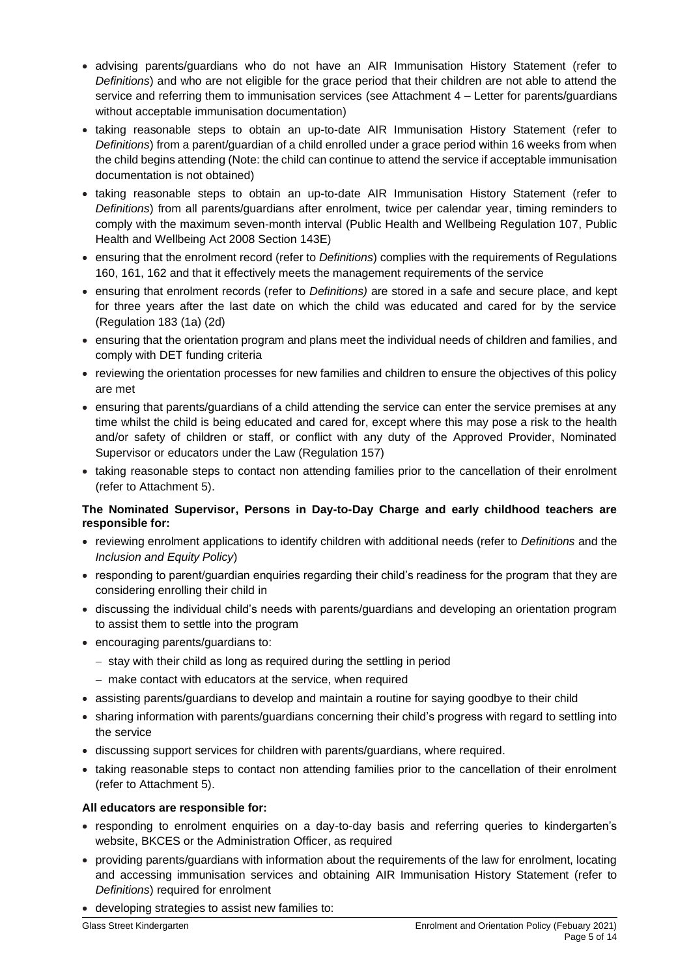- advising parents/guardians who do not have an AIR Immunisation History Statement (refer to *Definitions*) and who are not eligible for the grace period that their children are not able to attend the service and referring them to immunisation services (see Attachment 4 – Letter for parents/guardians without acceptable immunisation documentation)
- taking reasonable steps to obtain an up-to-date AIR Immunisation History Statement (refer to *Definitions*) from a parent/guardian of a child enrolled under a grace period within 16 weeks from when the child begins attending (Note: the child can continue to attend the service if acceptable immunisation documentation is not obtained)
- taking reasonable steps to obtain an up-to-date AIR Immunisation History Statement (refer to *Definitions*) from all parents/guardians after enrolment, twice per calendar year, timing reminders to comply with the maximum seven-month interval (Public Health and Wellbeing Regulation 107, Public Health and Wellbeing Act 2008 Section 143E)
- ensuring that the enrolment record (refer to *Definitions*) complies with the requirements of Regulations 160, 161, 162 and that it effectively meets the management requirements of the service
- ensuring that enrolment records (refer to *Definitions)* are stored in a safe and secure place, and kept for three years after the last date on which the child was educated and cared for by the service (Regulation 183 (1a) (2d)
- ensuring that the orientation program and plans meet the individual needs of children and families, and comply with DET funding criteria
- reviewing the orientation processes for new families and children to ensure the objectives of this policy are met
- ensuring that parents/guardians of a child attending the service can enter the service premises at any time whilst the child is being educated and cared for, except where this may pose a risk to the health and/or safety of children or staff, or conflict with any duty of the Approved Provider, Nominated Supervisor or educators under the Law (Regulation 157)
- taking reasonable steps to contact non attending families prior to the cancellation of their enrolment (refer to Attachment 5).

#### **The Nominated Supervisor, Persons in Day-to-Day Charge and early childhood teachers are responsible for:**

- reviewing enrolment applications to identify children with additional needs (refer to *Definitions* and the *Inclusion and Equity Policy*)
- responding to parent/guardian enquiries regarding their child's readiness for the program that they are considering enrolling their child in
- discussing the individual child's needs with parents/guardians and developing an orientation program to assist them to settle into the program
- encouraging parents/guardians to:
	- − stay with their child as long as required during the settling in period
	- − make contact with educators at the service, when required
- assisting parents/guardians to develop and maintain a routine for saying goodbye to their child
- sharing information with parents/guardians concerning their child's progress with regard to settling into the service
- discussing support services for children with parents/guardians, where required.
- taking reasonable steps to contact non attending families prior to the cancellation of their enrolment (refer to Attachment 5).

### **All educators are responsible for:**

- responding to enrolment enquiries on a day-to-day basis and referring queries to kindergarten's website, BKCES or the Administration Officer, as required
- providing parents/guardians with information about the requirements of the law for enrolment, locating and accessing immunisation services and obtaining AIR Immunisation History Statement (refer to *Definitions*) required for enrolment
- developing strategies to assist new families to: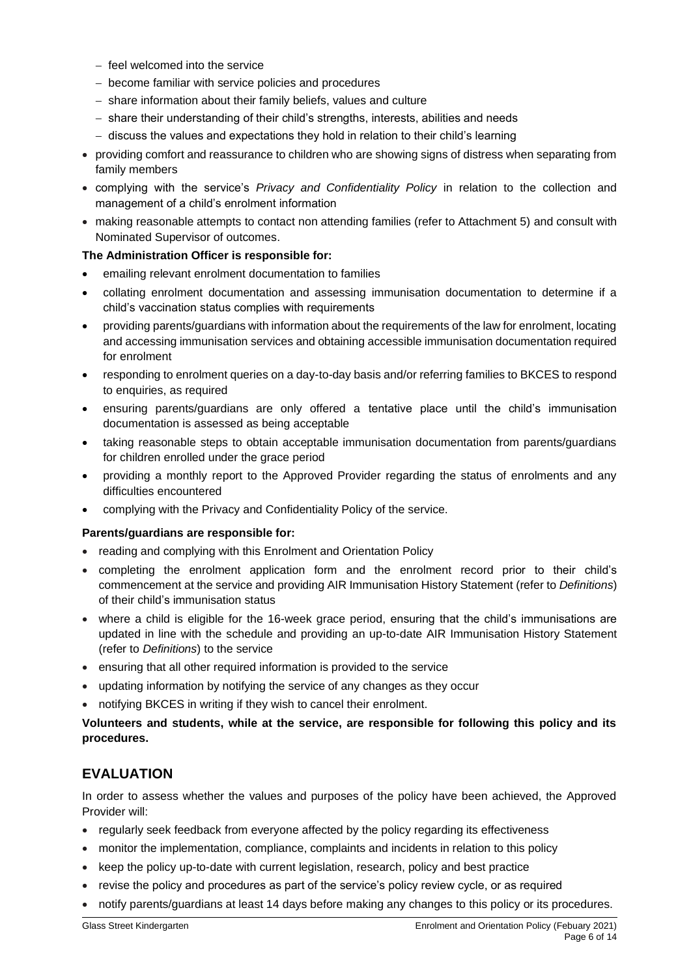- − feel welcomed into the service
- − become familiar with service policies and procedures
- − share information about their family beliefs, values and culture
- − share their understanding of their child's strengths, interests, abilities and needs
- − discuss the values and expectations they hold in relation to their child's learning
- providing comfort and reassurance to children who are showing signs of distress when separating from family members
- complying with the service's *Privacy and Confidentiality Policy* in relation to the collection and management of a child's enrolment information
- making reasonable attempts to contact non attending families (refer to Attachment 5) and consult with Nominated Supervisor of outcomes.

#### **The Administration Officer is responsible for:**

- emailing relevant enrolment documentation to families
- collating enrolment documentation and assessing immunisation documentation to determine if a child's vaccination status complies with requirements
- providing parents/guardians with information about the requirements of the law for enrolment, locating and accessing immunisation services and obtaining accessible immunisation documentation required for enrolment
- responding to enrolment queries on a day-to-day basis and/or referring families to BKCES to respond to enquiries, as required
- ensuring parents/guardians are only offered a tentative place until the child's immunisation documentation is assessed as being acceptable
- taking reasonable steps to obtain acceptable immunisation documentation from parents/guardians for children enrolled under the grace period
- providing a monthly report to the Approved Provider regarding the status of enrolments and any difficulties encountered
- complying with the Privacy and Confidentiality Policy of the service.

#### **Parents/guardians are responsible for:**

- reading and complying with this Enrolment and Orientation Policy
- completing the enrolment application form and the enrolment record prior to their child's commencement at the service and providing AIR Immunisation History Statement (refer to *Definitions*) of their child's immunisation status
- where a child is eligible for the 16-week grace period, ensuring that the child's immunisations are updated in line with the schedule and providing an up-to-date AIR Immunisation History Statement (refer to *Definitions*) to the service
- ensuring that all other required information is provided to the service
- updating information by notifying the service of any changes as they occur
- notifying BKCES in writing if they wish to cancel their enrolment.

#### **Volunteers and students, while at the service, are responsible for following this policy and its procedures.**

### **EVALUATION**

In order to assess whether the values and purposes of the policy have been achieved, the Approved Provider will:

- regularly seek feedback from everyone affected by the policy regarding its effectiveness
- monitor the implementation, compliance, complaints and incidents in relation to this policy
- keep the policy up-to-date with current legislation, research, policy and best practice
- revise the policy and procedures as part of the service's policy review cycle, or as required
- notify parents/guardians at least 14 days before making any changes to this policy or its procedures.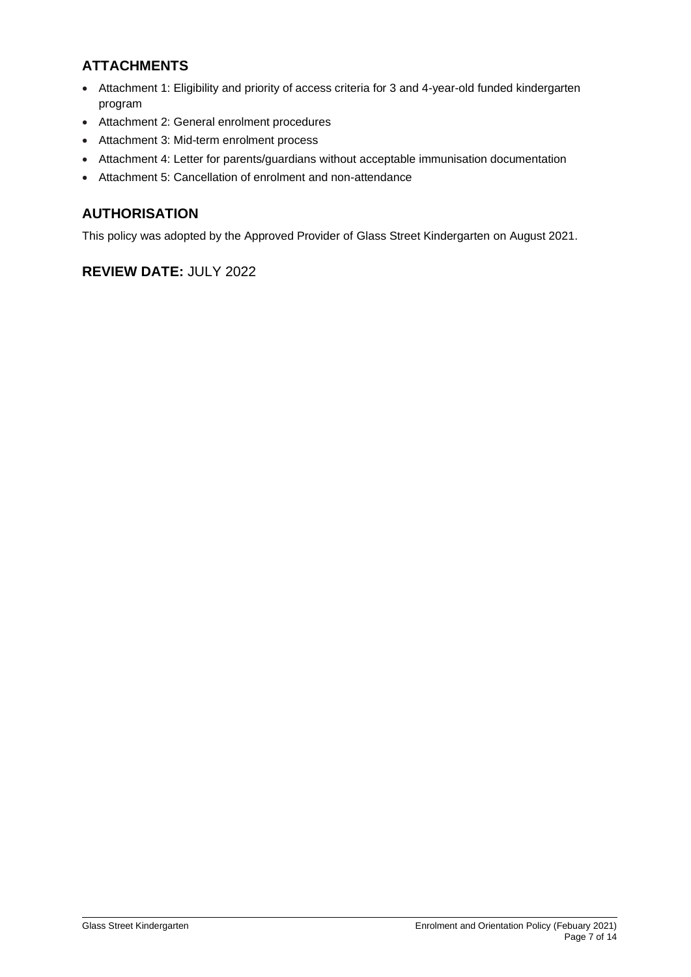## **ATTACHMENTS**

- Attachment 1: Eligibility and priority of access criteria for 3 and 4-year-old funded kindergarten program
- Attachment 2: General enrolment procedures
- Attachment 3: Mid-term enrolment process
- Attachment 4: Letter for parents/guardians without acceptable immunisation documentation
- Attachment 5: Cancellation of enrolment and non-attendance

## **AUTHORISATION**

This policy was adopted by the Approved Provider of Glass Street Kindergarten on August 2021.

## **REVIEW DATE:** JULY 2022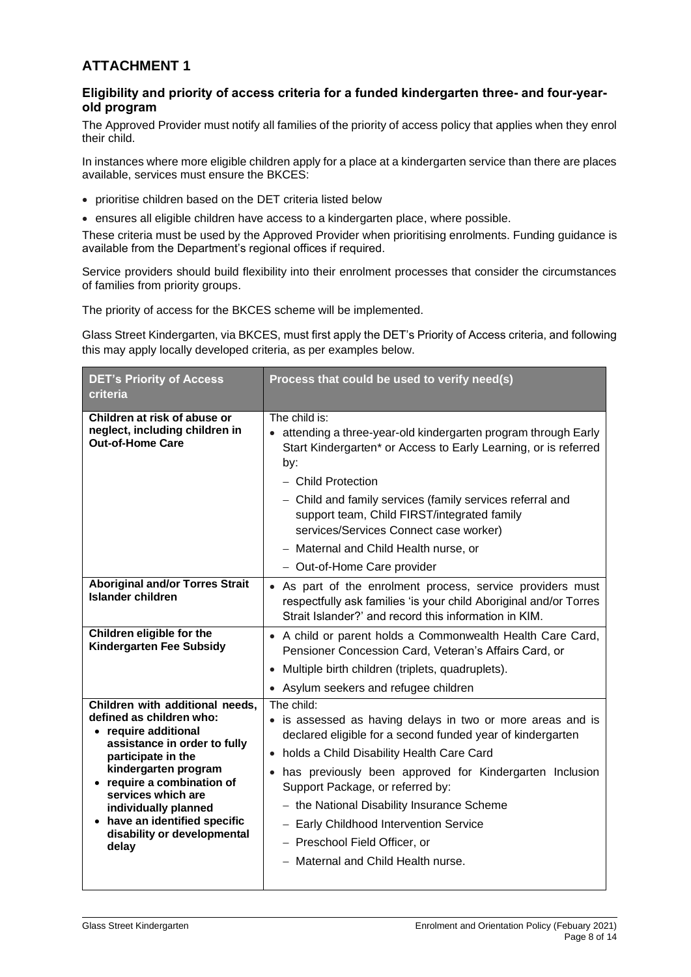## **ATTACHMENT 1**

### **Eligibility and priority of access criteria for a funded kindergarten three- and four-yearold program**

The Approved Provider must notify all families of the priority of access policy that applies when they enrol their child.

In instances where more eligible children apply for a place at a kindergarten service than there are places available, services must ensure the BKCES:

- prioritise children based on the DET criteria listed below
- ensures all eligible children have access to a kindergarten place, where possible.

These criteria must be used by the Approved Provider when prioritising enrolments. Funding guidance is available from the Department's regional offices if required.

Service providers should build flexibility into their enrolment processes that consider the circumstances of families from priority groups.

The priority of access for the BKCES scheme will be implemented.

Glass Street Kindergarten, via BKCES, must first apply the DET's Priority of Access criteria, and following this may apply locally developed criteria, as per examples below.

| <b>DET's Priority of Access</b><br>criteria                                                                                                                                                                                                                                                                            | Process that could be used to verify need(s)                                                                                                                                                                                                                                                                                                                                                                                                          |  |
|------------------------------------------------------------------------------------------------------------------------------------------------------------------------------------------------------------------------------------------------------------------------------------------------------------------------|-------------------------------------------------------------------------------------------------------------------------------------------------------------------------------------------------------------------------------------------------------------------------------------------------------------------------------------------------------------------------------------------------------------------------------------------------------|--|
| Children at risk of abuse or<br>neglect, including children in<br><b>Out-of-Home Care</b>                                                                                                                                                                                                                              | The child is:<br>• attending a three-year-old kindergarten program through Early<br>Start Kindergarten* or Access to Early Learning, or is referred<br>by:<br>- Child Protection<br>- Child and family services (family services referral and<br>support team, Child FIRST/integrated family<br>services/Services Connect case worker)                                                                                                                |  |
|                                                                                                                                                                                                                                                                                                                        | - Maternal and Child Health nurse, or                                                                                                                                                                                                                                                                                                                                                                                                                 |  |
|                                                                                                                                                                                                                                                                                                                        | - Out-of-Home Care provider                                                                                                                                                                                                                                                                                                                                                                                                                           |  |
| <b>Aboriginal and/or Torres Strait</b><br><b>Islander children</b>                                                                                                                                                                                                                                                     | • As part of the enrolment process, service providers must<br>respectfully ask families 'is your child Aboriginal and/or Torres<br>Strait Islander?' and record this information in KIM.                                                                                                                                                                                                                                                              |  |
| Children eligible for the<br><b>Kindergarten Fee Subsidy</b>                                                                                                                                                                                                                                                           | • A child or parent holds a Commonwealth Health Care Card,<br>Pensioner Concession Card, Veteran's Affairs Card, or                                                                                                                                                                                                                                                                                                                                   |  |
|                                                                                                                                                                                                                                                                                                                        | • Multiple birth children (triplets, quadruplets).                                                                                                                                                                                                                                                                                                                                                                                                    |  |
|                                                                                                                                                                                                                                                                                                                        | • Asylum seekers and refugee children                                                                                                                                                                                                                                                                                                                                                                                                                 |  |
| Children with additional needs,<br>defined as children who:<br>• require additional<br>assistance in order to fully<br>participate in the<br>kindergarten program<br>• require a combination of<br>services which are<br>individually planned<br>• have an identified specific<br>disability or developmental<br>delay | The child:<br>• is assessed as having delays in two or more areas and is<br>declared eligible for a second funded year of kindergarten<br>• holds a Child Disability Health Care Card<br>• has previously been approved for Kindergarten Inclusion<br>Support Package, or referred by:<br>- the National Disability Insurance Scheme<br>- Early Childhood Intervention Service<br>- Preschool Field Officer, or<br>- Maternal and Child Health nurse. |  |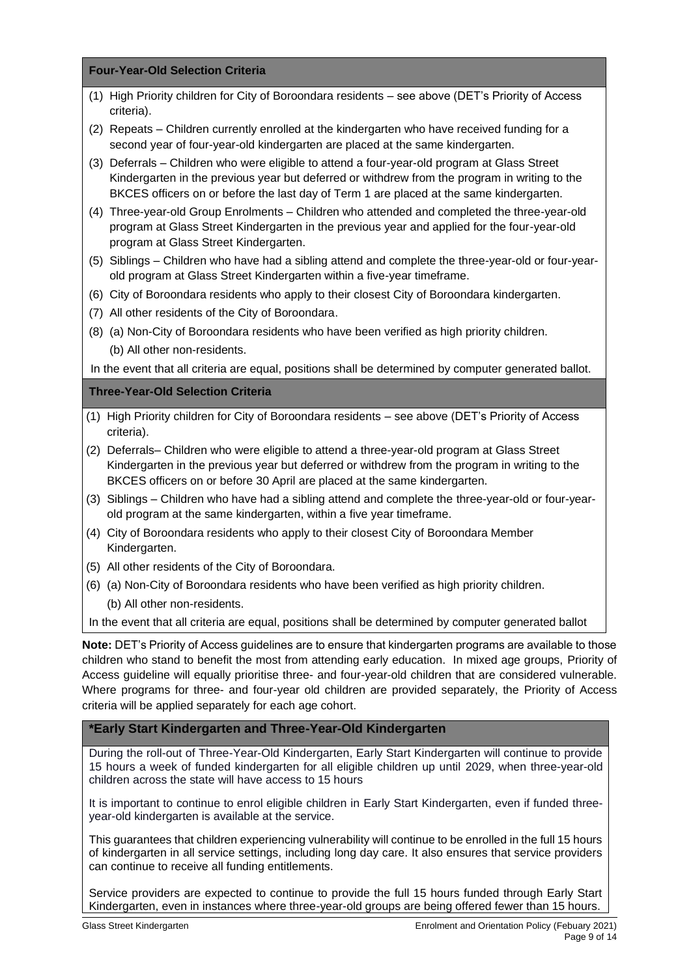**Four-Year-Old Selection Criteria**

- (1) High Priority children for City of Boroondara residents see above (DET's Priority of Access criteria).
- (2) Repeats Children currently enrolled at the kindergarten who have received funding for a second year of four-year-old kindergarten are placed at the same kindergarten.
- (3) Deferrals Children who were eligible to attend a four-year-old program at Glass Street Kindergarten in the previous year but deferred or withdrew from the program in writing to the BKCES officers on or before the last day of Term 1 are placed at the same kindergarten.
- (4) Three-year-old Group Enrolments Children who attended and completed the three-year-old program at Glass Street Kindergarten in the previous year and applied for the four-year-old program at Glass Street Kindergarten.
- (5) Siblings Children who have had a sibling attend and complete the three-year-old or four-yearold program at Glass Street Kindergarten within a five-year timeframe.
- (6) City of Boroondara residents who apply to their closest City of Boroondara kindergarten.
- (7) All other residents of the City of Boroondara.
- (8) (a) Non-City of Boroondara residents who have been verified as high priority children. (b) All other non-residents.

In the event that all criteria are equal, positions shall be determined by computer generated ballot.

#### **Three-Year-Old Selection Criteria**

- (1) High Priority children for City of Boroondara residents see above (DET's Priority of Access criteria).
- (2) Deferrals– Children who were eligible to attend a three-year-old program at Glass Street Kindergarten in the previous year but deferred or withdrew from the program in writing to the BKCES officers on or before 30 April are placed at the same kindergarten.
- (3) Siblings Children who have had a sibling attend and complete the three-year-old or four-yearold program at the same kindergarten, within a five year timeframe.
- (4) City of Boroondara residents who apply to their closest City of Boroondara Member Kindergarten.
- (5) All other residents of the City of Boroondara.
- (6) (a) Non-City of Boroondara residents who have been verified as high priority children. (b) All other non-residents.

In the event that all criteria are equal, positions shall be determined by computer generated ballot

**Note:** DET's Priority of Access guidelines are to ensure that kindergarten programs are available to those children who stand to benefit the most from attending early education. In mixed age groups, Priority of Access guideline will equally prioritise three- and four-year-old children that are considered vulnerable. Where programs for three- and four-year old children are provided separately, the Priority of Access criteria will be applied separately for each age cohort.

#### **\*Early Start Kindergarten and Three-Year-Old Kindergarten**

During the roll-out of Three-Year-Old Kindergarten, Early Start Kindergarten will continue to provide 15 hours a week of funded kindergarten for all eligible children up until 2029, when three-year-old children across the state will have access to 15 hours

It is important to continue to enrol eligible children in Early Start Kindergarten, even if funded threeyear-old kindergarten is available at the service.

This guarantees that children experiencing vulnerability will continue to be enrolled in the full 15 hours of kindergarten in all service settings, including long day care. It also ensures that service providers can continue to receive all funding entitlements.

Service providers are expected to continue to provide the full 15 hours funded through Early Start Kindergarten, even in instances where three-year-old groups are being offered fewer than 15 hours.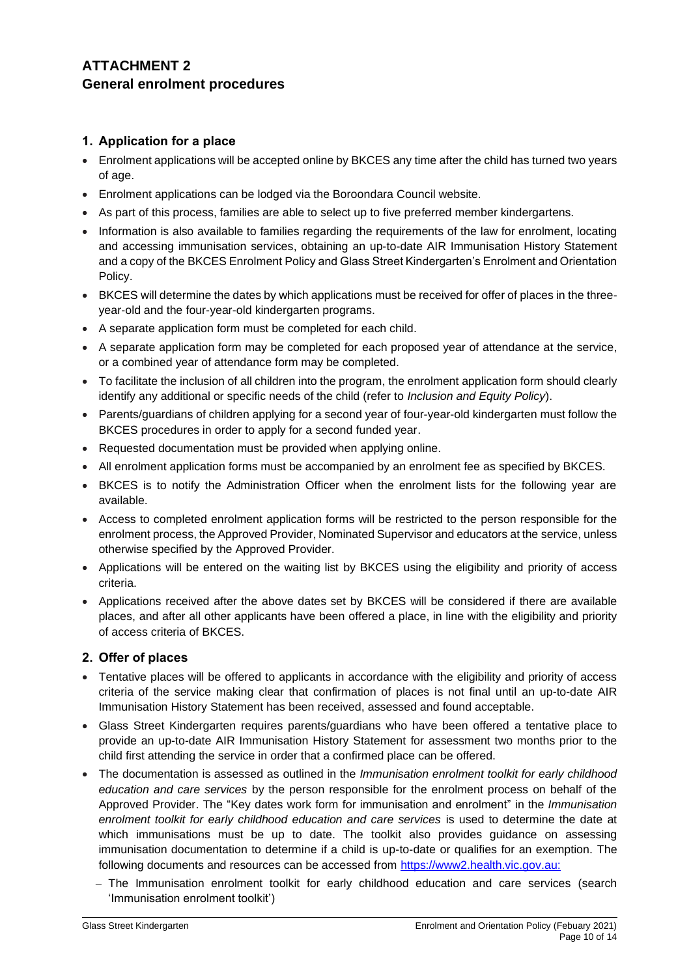## **ATTACHMENT 2 General enrolment procedures**

### **1. Application for a place**

- Enrolment applications will be accepted online by BKCES any time after the child has turned two years of age.
- Enrolment applications can be lodged via the Boroondara Council website.
- As part of this process, families are able to select up to five preferred member kindergartens.
- Information is also available to families regarding the requirements of the law for enrolment, locating and accessing immunisation services, obtaining an up-to-date AIR Immunisation History Statement and a copy of the BKCES Enrolment Policy and Glass Street Kindergarten's Enrolment and Orientation Policy.
- BKCES will determine the dates by which applications must be received for offer of places in the threeyear-old and the four-year-old kindergarten programs.
- A separate application form must be completed for each child.
- A separate application form may be completed for each proposed year of attendance at the service, or a combined year of attendance form may be completed.
- To facilitate the inclusion of all children into the program, the enrolment application form should clearly identify any additional or specific needs of the child (refer to *Inclusion and Equity Policy*).
- Parents/guardians of children applying for a second year of four-year-old kindergarten must follow the BKCES procedures in order to apply for a second funded year.
- Requested documentation must be provided when applying online.
- All enrolment application forms must be accompanied by an enrolment fee as specified by BKCES.
- BKCES is to notify the Administration Officer when the enrolment lists for the following year are available.
- Access to completed enrolment application forms will be restricted to the person responsible for the enrolment process, the Approved Provider, Nominated Supervisor and educators at the service, unless otherwise specified by the Approved Provider.
- Applications will be entered on the waiting list by BKCES using the eligibility and priority of access criteria.
- Applications received after the above dates set by BKCES will be considered if there are available places, and after all other applicants have been offered a place, in line with the eligibility and priority of access criteria of BKCES.

#### **2. Offer of places**

- Tentative places will be offered to applicants in accordance with the eligibility and priority of access criteria of the service making clear that confirmation of places is not final until an up-to-date AIR Immunisation History Statement has been received, assessed and found acceptable.
- Glass Street Kindergarten requires parents/guardians who have been offered a tentative place to provide an up-to-date AIR Immunisation History Statement for assessment two months prior to the child first attending the service in order that a confirmed place can be offered.
- The documentation is assessed as outlined in the *Immunisation enrolment toolkit for early childhood education and care services* by the person responsible for the enrolment process on behalf of the Approved Provider. The "Key dates work form for immunisation and enrolment" in the *Immunisation enrolment toolkit for early childhood education and care services* is used to determine the date at which immunisations must be up to date. The toolkit also provides guidance on assessing immunisation documentation to determine if a child is up-to-date or qualifies for an exemption. The following documents and resources can be accessed from [https://www2.health.vic.gov.au:](https://www2.health.vic.gov.au/)
	- − The Immunisation enrolment toolkit for early childhood education and care services (search 'Immunisation enrolment toolkit')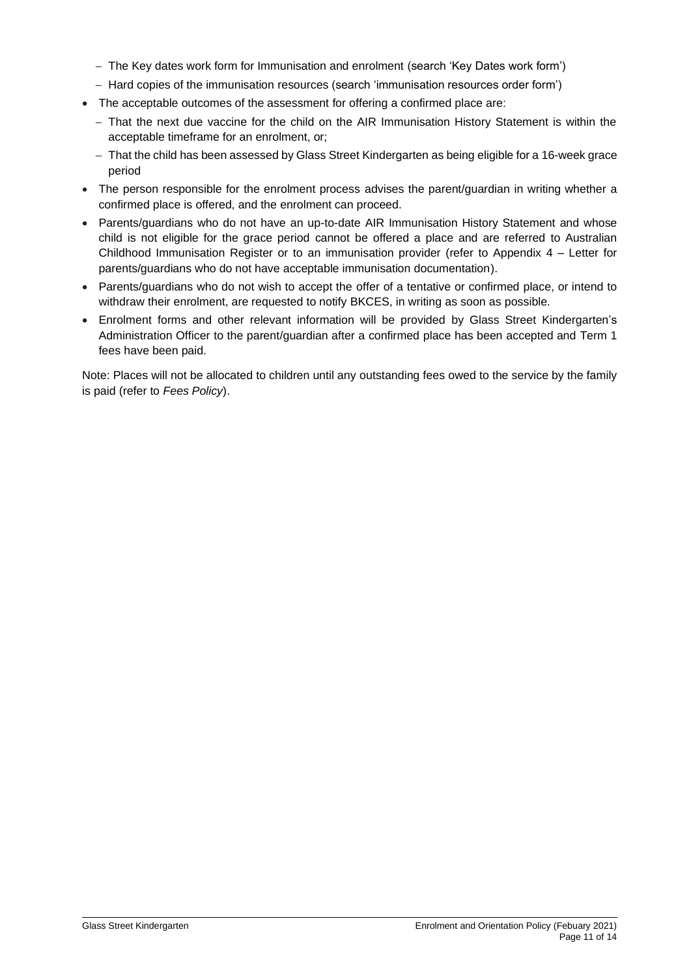- − The Key dates work form for Immunisation and enrolment (search 'Key Dates work form')
- − Hard copies of the immunisation resources (search 'immunisation resources order form')
- The acceptable outcomes of the assessment for offering a confirmed place are:
	- − That the next due vaccine for the child on the AIR Immunisation History Statement is within the acceptable timeframe for an enrolment, or;
	- − That the child has been assessed by Glass Street Kindergarten as being eligible for a 16-week grace period
- The person responsible for the enrolment process advises the parent/guardian in writing whether a confirmed place is offered, and the enrolment can proceed.
- Parents/guardians who do not have an up-to-date AIR Immunisation History Statement and whose child is not eligible for the grace period cannot be offered a place and are referred to Australian Childhood Immunisation Register or to an immunisation provider (refer to Appendix 4 – Letter for parents/guardians who do not have acceptable immunisation documentation).
- Parents/guardians who do not wish to accept the offer of a tentative or confirmed place, or intend to withdraw their enrolment, are requested to notify BKCES, in writing as soon as possible.
- Enrolment forms and other relevant information will be provided by Glass Street Kindergarten's Administration Officer to the parent/guardian after a confirmed place has been accepted and Term 1 fees have been paid.

Note: Places will not be allocated to children until any outstanding fees owed to the service by the family is paid (refer to *Fees Policy*).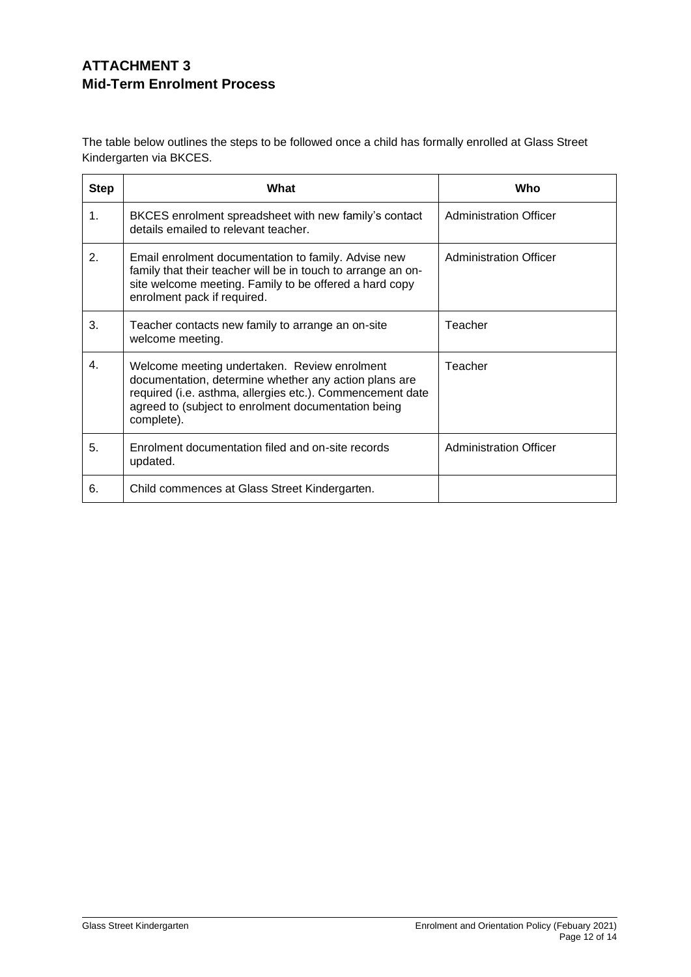## **ATTACHMENT 3 Mid-Term Enrolment Process**

The table below outlines the steps to be followed once a child has formally enrolled at Glass Street Kindergarten via BKCES.

| <b>Step</b>    | What                                                                                                                                                                                                                                    | Who                           |
|----------------|-----------------------------------------------------------------------------------------------------------------------------------------------------------------------------------------------------------------------------------------|-------------------------------|
| $\mathbf{1}$ . | BKCES enrolment spreadsheet with new family's contact<br>details emailed to relevant teacher.                                                                                                                                           | <b>Administration Officer</b> |
| 2.             | Email enrolment documentation to family. Advise new<br>family that their teacher will be in touch to arrange an on-<br>site welcome meeting. Family to be offered a hard copy<br>enrolment pack if required.                            | <b>Administration Officer</b> |
| 3.             | Teacher contacts new family to arrange an on-site<br>welcome meeting.                                                                                                                                                                   | Teacher                       |
| 4.             | Welcome meeting undertaken. Review enrolment<br>documentation, determine whether any action plans are<br>required (i.e. asthma, allergies etc.). Commencement date<br>agreed to (subject to enrolment documentation being<br>complete). | Teacher                       |
| 5.             | Enrolment documentation filed and on-site records<br>updated.                                                                                                                                                                           | <b>Administration Officer</b> |
| 6.             | Child commences at Glass Street Kindergarten.                                                                                                                                                                                           |                               |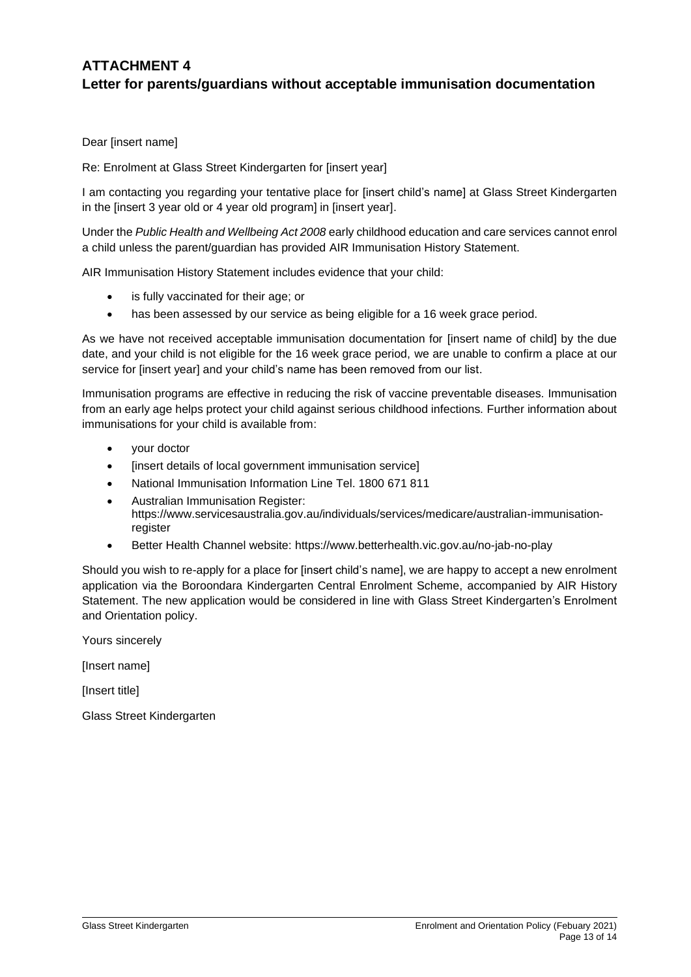## **ATTACHMENT 4 Letter for parents/guardians without acceptable immunisation documentation**

Dear [insert name]

Re: Enrolment at Glass Street Kindergarten for [insert year]

I am contacting you regarding your tentative place for [insert child's name] at Glass Street Kindergarten in the [insert 3 year old or 4 year old program] in [insert year].

Under the *Public Health and Wellbeing Act 2008* early childhood education and care services cannot enrol a child unless the parent/guardian has provided AIR Immunisation History Statement.

AIR Immunisation History Statement includes evidence that your child:

- is fully vaccinated for their age; or
- has been assessed by our service as being eligible for a 16 week grace period.

As we have not received acceptable immunisation documentation for [insert name of child] by the due date, and your child is not eligible for the 16 week grace period, we are unable to confirm a place at our service for [insert year] and your child's name has been removed from our list.

Immunisation programs are effective in reducing the risk of vaccine preventable diseases. Immunisation from an early age helps protect your child against serious childhood infections. Further information about immunisations for your child is available from:

- your doctor
- [insert details of local government immunisation service]
- National Immunisation Information Line Tel. 1800 671 811
- Australian Immunisation Register: https://www.servicesaustralia.gov.au/individuals/services/medicare/australian-immunisationregister
- Better Health Channel website: <https://www.betterhealth.vic.gov.au/no-jab-no-play>

Should you wish to re-apply for a place for [insert child's name], we are happy to accept a new enrolment application via the Boroondara Kindergarten Central Enrolment Scheme, accompanied by AIR History Statement. The new application would be considered in line with Glass Street Kindergarten's Enrolment and Orientation policy.

Yours sincerely

[Insert name]

[Insert title]

Glass Street Kindergarten